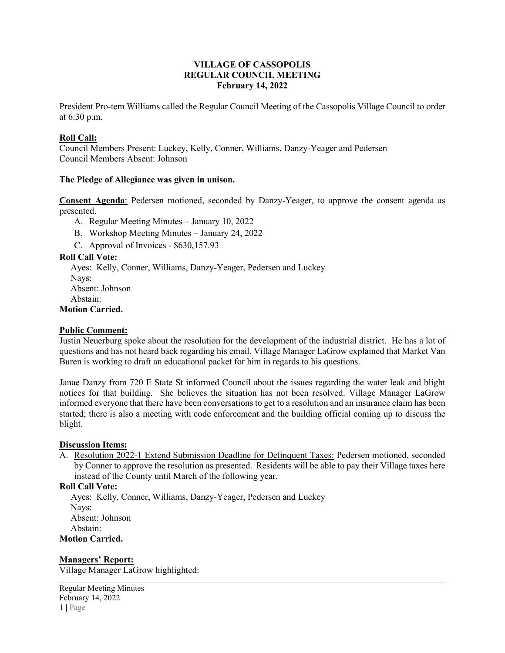# **VILLAGE OF CASSOPOLIS REGULAR COUNCIL MEETING February 14, 2022**

President Pro-tem Williams called the Regular Council Meeting of the Cassopolis Village Council to order at 6:30 p.m.

# **Roll Call:**

Council Members Present: Luckey, Kelly, Conner, Williams, Danzy-Yeager and Pedersen Council Members Absent: Johnson

## **The Pledge of Allegiance was given in unison.**

**Consent Agenda**: Pedersen motioned, seconded by Danzy-Yeager, to approve the consent agenda as presented.

A. Regular Meeting Minutes – January 10, 2022

- B. Workshop Meeting Minutes January 24, 2022
- C. Approval of Invoices \$630,157.93

## **Roll Call Vote:**

 Ayes: Kelly, Conner, Williams, Danzy-Yeager, Pedersen and Luckey Nays: Absent: Johnson Abstain: **Motion Carried.**

#### **Public Comment:**

Justin Neuerburg spoke about the resolution for the development of the industrial district. He has a lot of questions and has not heard back regarding his email. Village Manager LaGrow explained that Market Van Buren is working to draft an educational packet for him in regards to his questions.

Janae Danzy from 720 E State St informed Council about the issues regarding the water leak and blight notices for that building. She believes the situation has not been resolved. Village Manager LaGrow informed everyone that there have been conversations to get to a resolution and an insurance claim has been started; there is also a meeting with code enforcement and the building official coming up to discuss the blight.

#### **Discussion Items:**

A. Resolution 2022-1 Extend Submission Deadline for Delinquent Taxes: Pedersen motioned, seconded by Conner to approve the resolution as presented. Residents will be able to pay their Village taxes here instead of the County until March of the following year.

# **Roll Call Vote:**

 Ayes: Kelly, Conner, Williams, Danzy-Yeager, Pedersen and Luckey Nays: Absent: Johnson Abstain: **Motion Carried.**

#### **Managers' Report:**

Village Manager LaGrow highlighted:

Regular Meeting Minutes February 14, 2022 1 **|** Page